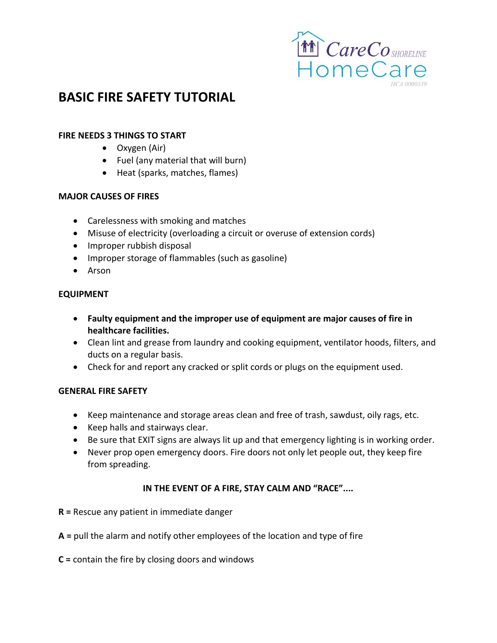

# **BASIC FIRE SAFETY TUTORIAL**

#### **FIRE NEEDS 3 THINGS TO START**

- Oxygen (Air)
- Fuel (any material that will burn)
- Heat (sparks, matches, flames)

#### **MAJOR CAUSES OF FIRES**

- Carelessness with smoking and matches
- Misuse of electricity (overloading a circuit or overuse of extension cords)
- Improper rubbish disposal
- Improper storage of flammables (such as gasoline)
- Arson

#### **EQUIPMENT**

- **Faulty equipment and the improper use of equipment are major causes of fire in healthcare facilities.**
- Clean lint and grease from laundry and cooking equipment, ventilator hoods, filters, and ducts on a regular basis.
- Check for and report any cracked or split cords or plugs on the equipment used.

#### **GENERAL FIRE SAFETY**

- Keep maintenance and storage areas clean and free of trash, sawdust, oily rags, etc.
- Keep halls and stairways clear.
- Be sure that EXIT signs are always lit up and that emergency lighting is in working order.
- Never prop open emergency doors. Fire doors not only let people out, they keep fire from spreading.

# **IN THE EVENT OF A FIRE, STAY CALM AND "RACE"....**

- **R =** Rescue any patient in immediate danger
- **A =** pull the alarm and notify other employees of the location and type of fire
- **C =** contain the fire by closing doors and windows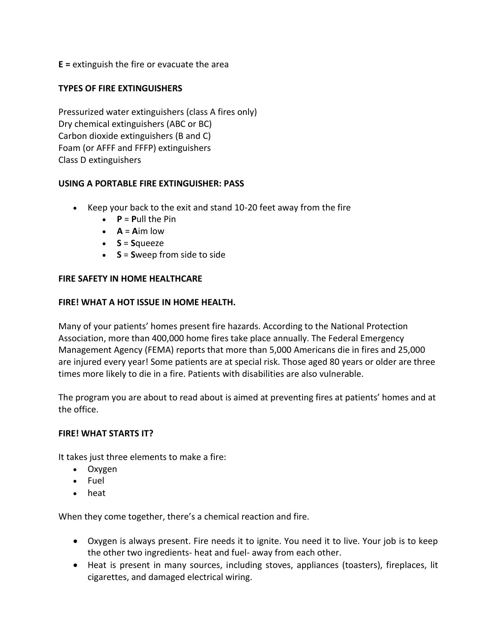**E =** extinguish the fire or evacuate the area

#### **TYPES OF FIRE EXTINGUISHERS**

Pressurized water extinguishers (class A fires only) Dry chemical extinguishers (ABC or BC) Carbon dioxide extinguishers (B and C) Foam (or AFFF and FFFP) extinguishers Class D extinguishers

#### **USING A PORTABLE FIRE EXTINGUISHER: PASS**

- Keep your back to the exit and stand 10-20 feet away from the fire
	- $\bullet$  **P** = **P**ull the Pin
	- $\bullet$  **A** = **A**im low
	- $\bullet$   $S = S$ queeze
	- **S** = **S**weep from side to side

#### **FIRE SAFETY IN HOME HEALTHCARE**

#### **FIRE! WHAT A HOT ISSUE IN HOME HEALTH.**

Many of your patients' homes present fire hazards. According to the National Protection Association, more than 400,000 home fires take place annually. The Federal Emergency Management Agency (FEMA) reports that more than 5,000 Americans die in fires and 25,000 are injured every year! Some patients are at special risk. Those aged 80 years or older are three times more likely to die in a fire. Patients with disabilities are also vulnerable.

The program you are about to read about is aimed at preventing fires at patients' homes and at the office.

#### **FIRE! WHAT STARTS IT?**

It takes just three elements to make a fire:

- Oxygen
- Fuel
- heat

When they come together, there's a chemical reaction and fire.

- Oxygen is always present. Fire needs it to ignite. You need it to live. Your job is to keep the other two ingredients- heat and fuel- away from each other.
- Heat is present in many sources, including stoves, appliances (toasters), fireplaces, lit cigarettes, and damaged electrical wiring.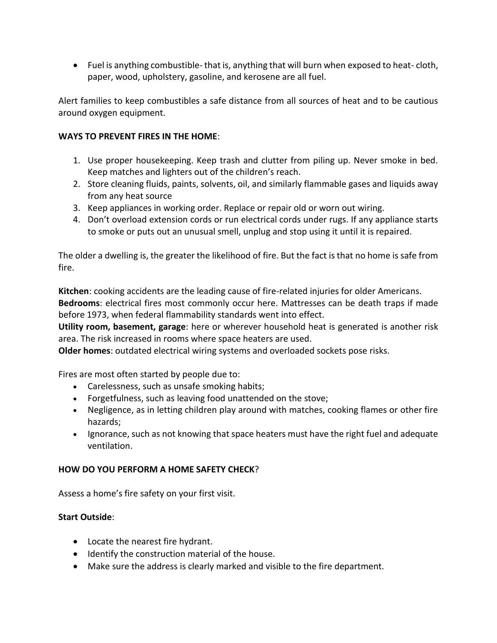Fuel is anything combustible- that is, anything that will burn when exposed to heat- cloth, paper, wood, upholstery, gasoline, and kerosene are all fuel.

Alert families to keep combustibles a safe distance from all sources of heat and to be cautious around oxygen equipment.

#### **WAYS TO PREVENT FIRES IN THE HOME**:

- 1. Use proper housekeeping. Keep trash and clutter from piling up. Never smoke in bed. Keep matches and lighters out of the children's reach.
- 2. Store cleaning fluids, paints, solvents, oil, and similarly flammable gases and liquids away from any heat source
- 3. Keep appliances in working order. Replace or repair old or worn out wiring.
- 4. Don't overload extension cords or run electrical cords under rugs. If any appliance starts to smoke or puts out an unusual smell, unplug and stop using it until it is repaired.

The older a dwelling is, the greater the likelihood of fire. But the fact is that no home is safe from fire.

**Kitchen**: cooking accidents are the leading cause of fire-related injuries for older Americans. **Bedrooms**: electrical fires most commonly occur here. Mattresses can be death traps if made before 1973, when federal flammability standards went into effect.

**Utility room, basement, garage**: here or wherever household heat is generated is another risk area. The risk increased in rooms where space heaters are used.

**Older homes**: outdated electrical wiring systems and overloaded sockets pose risks.

Fires are most often started by people due to:

- Carelessness, such as unsafe smoking habits;
- Forgetfulness, such as leaving food unattended on the stove;
- Negligence, as in letting children play around with matches, cooking flames or other fire hazards;
- Ignorance, such as not knowing that space heaters must have the right fuel and adequate ventilation.

# **HOW DO YOU PERFORM A HOME SAFETY CHECK**?

Assess a home's fire safety on your first visit.

# **Start Outside**:

- Locate the nearest fire hydrant.
- Identify the construction material of the house.
- Make sure the address is clearly marked and visible to the fire department.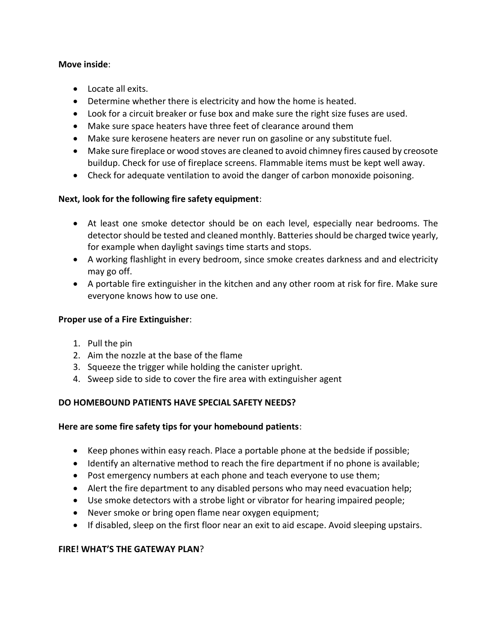#### **Move inside**:

- Locate all exits.
- Determine whether there is electricity and how the home is heated.
- Look for a circuit breaker or fuse box and make sure the right size fuses are used.
- Make sure space heaters have three feet of clearance around them
- Make sure kerosene heaters are never run on gasoline or any substitute fuel.
- Make sure fireplace or wood stoves are cleaned to avoid chimney fires caused by creosote buildup. Check for use of fireplace screens. Flammable items must be kept well away.
- Check for adequate ventilation to avoid the danger of carbon monoxide poisoning.

# **Next, look for the following fire safety equipment**:

- At least one smoke detector should be on each level, especially near bedrooms. The detector should be tested and cleaned monthly. Batteries should be charged twice yearly, for example when daylight savings time starts and stops.
- A working flashlight in every bedroom, since smoke creates darkness and and electricity may go off.
- A portable fire extinguisher in the kitchen and any other room at risk for fire. Make sure everyone knows how to use one.

# **Proper use of a Fire Extinguisher**:

- 1. Pull the pin
- 2. Aim the nozzle at the base of the flame
- 3. Squeeze the trigger while holding the canister upright.
- 4. Sweep side to side to cover the fire area with extinguisher agent

# **DO HOMEBOUND PATIENTS HAVE SPECIAL SAFETY NEEDS?**

# **Here are some fire safety tips for your homebound patients**:

- Keep phones within easy reach. Place a portable phone at the bedside if possible;
- Identify an alternative method to reach the fire department if no phone is available;
- Post emergency numbers at each phone and teach everyone to use them;
- Alert the fire department to any disabled persons who may need evacuation help;
- Use smoke detectors with a strobe light or vibrator for hearing impaired people;
- Never smoke or bring open flame near oxygen equipment;
- If disabled, sleep on the first floor near an exit to aid escape. Avoid sleeping upstairs.

# **FIRE! WHAT'S THE GATEWAY PLAN**?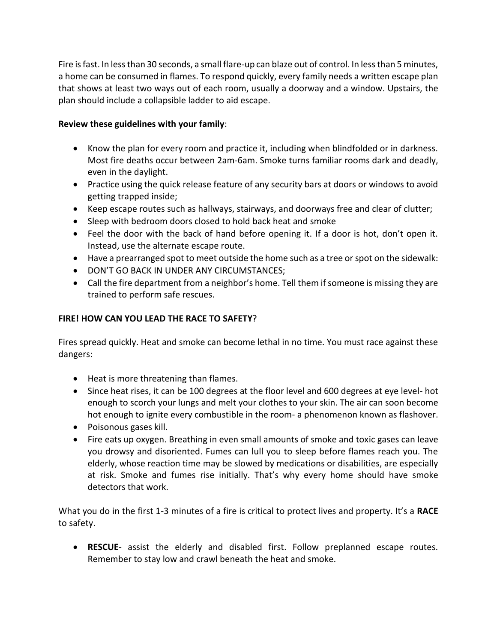Fire is fast. In less than 30 seconds, a small flare-up can blaze out of control. In less than 5 minutes, a home can be consumed in flames. To respond quickly, every family needs a written escape plan that shows at least two ways out of each room, usually a doorway and a window. Upstairs, the plan should include a collapsible ladder to aid escape.

#### **Review these guidelines with your family**:

- Know the plan for every room and practice it, including when blindfolded or in darkness. Most fire deaths occur between 2am-6am. Smoke turns familiar rooms dark and deadly, even in the daylight.
- Practice using the quick release feature of any security bars at doors or windows to avoid getting trapped inside;
- Keep escape routes such as hallways, stairways, and doorways free and clear of clutter;
- Sleep with bedroom doors closed to hold back heat and smoke
- Feel the door with the back of hand before opening it. If a door is hot, don't open it. Instead, use the alternate escape route.
- Have a prearranged spot to meet outside the home such as a tree or spot on the sidewalk:
- **DON'T GO BACK IN UNDER ANY CIRCUMSTANCES;**
- Call the fire department from a neighbor's home. Tell them if someone is missing they are trained to perform safe rescues.

#### **FIRE! HOW CAN YOU LEAD THE RACE TO SAFETY**?

Fires spread quickly. Heat and smoke can become lethal in no time. You must race against these dangers:

- Heat is more threatening than flames.
- Since heat rises, it can be 100 degrees at the floor level and 600 degrees at eye level- hot enough to scorch your lungs and melt your clothes to your skin. The air can soon become hot enough to ignite every combustible in the room- a phenomenon known as flashover.
- Poisonous gases kill.
- Fire eats up oxygen. Breathing in even small amounts of smoke and toxic gases can leave you drowsy and disoriented. Fumes can lull you to sleep before flames reach you. The elderly, whose reaction time may be slowed by medications or disabilities, are especially at risk. Smoke and fumes rise initially. That's why every home should have smoke detectors that work.

What you do in the first 1-3 minutes of a fire is critical to protect lives and property. It's a **RACE** to safety.

 **RESCUE**- assist the elderly and disabled first. Follow preplanned escape routes. Remember to stay low and crawl beneath the heat and smoke.